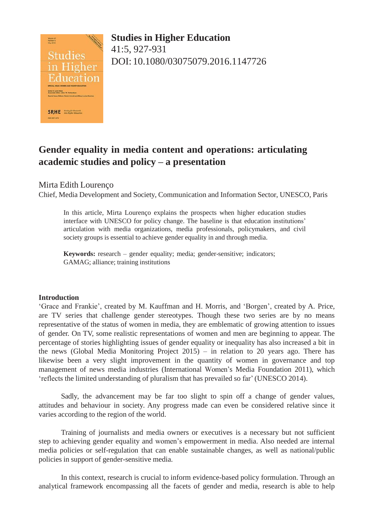

# **Studies in Higher Education** 41:5, 927-931 DOI: 10.1080/03075079.2016.1147726

## **Gender equality in media content and operations: articulating academic studies and policy – a presentation**

## Mirta Edith Lourenço

Chief, Media Development and Society, Communication and Information Sector, UNESCO, Paris

In this article, Mirta Lourenço explains the prospects when higher education studies interface with UNESCO for policy change. The baseline is that education institutions' articulation with media organizations, media professionals, policymakers, and civil society groups is essential to achieve gender equality in and through media.

**Keywords:** research – gender equality; media; gender-sensitive; indicators; GAMAG; alliance; training institutions

### **Introduction**

'Grace and Frankie', created by M. Kauffman and H. Morris, and 'Borgen', created by A. Price, are TV series that challenge gender stereotypes. Though these two series are by no means representative of the status of women in media, they are emblematic of growing attention to issues of gender. On TV, some realistic representations of women and men are beginning to appear. The percentage of stories highlighting issues of gender equality or inequality has also increased a bit in the news (Global Media Monitoring Project 2015) – in relation to 20 years ago. There has likewise been a very slight improvement in the quantity of women in governance and top management of news media industries (International Women's Media Foundation 2011), which 'reflects the limited understanding of pluralism that has prevailed so far' (UNESCO 2014).

Sadly, the advancement may be far too slight to spin off a change of gender values, attitudes and behaviour in society. Any progress made can even be considered relative since it varies according to the region of the world.

Training of journalists and media owners or executives is a necessary but not sufficient step to achieving gender equality and women's empowerment in media. Also needed are internal media policies or self-regulation that can enable sustainable changes, as well as national/public policies in support of gender-sensitive media.

In this context, research is crucial to inform evidence-based policy formulation. Through an analytical framework encompassing all the facets of gender and media, research is able to help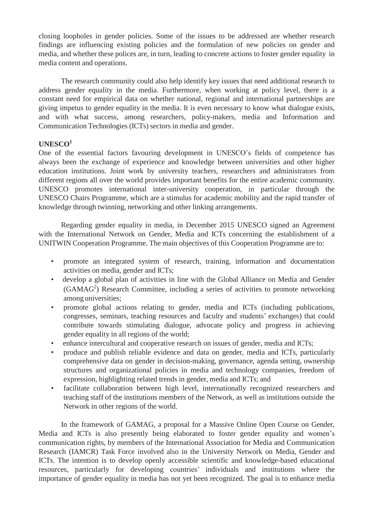closing loopholes in gender policies. Some of the issues to be addressed are whether research findings are influencing existing policies and the formulation of new policies on gender and media, and whether these polices are, in turn, leading to concrete actions to foster gender equality in media content and operations.

The research community could also help identify key issues that need additional research to address gender equality in the media. Furthermore, when working at policy level, there is a constant need for empirical data on whether national, regional and international partnerships are giving impetus to gender equality in the media. It is even necessary to know what dialogue exists, and with what success, among researchers, policy-makers, media and Information and Communication Technologies (ICTs) sectors in media and gender.

## **UNESCO<sup>1</sup>**

One of the essential factors favouring development in UNESCO's fields of competence has always been the exchange of experience and knowledge between universities and other higher education institutions. Joint work by university teachers, researchers and administrators from different regions all over the world provides important benefits for the entire academic community. UNESCO promotes international inter-university cooperation, in particular through the UNESCO Chairs Programme, which are a stimulus for academic mobility and the rapid transfer of knowledge through twinning, networking and other linking arrangements.

Regarding gender equality in media, in December 2015 UNESCO signed an Agreement with the International Network on Gender, Media and ICTs concerning the establishment of a UNITWIN Cooperation Programme. The main objectives of this Cooperation Programme are to:

- promote an integrated system of research, training, information and documentation activities on media, gender and ICTs;
- develop a global plan of activities in line with the Global Alliance on Media and Gender  $(GAMAG<sup>2</sup>)$  Research Committee, including a series of activities to promote networking among universities;
- promote global actions relating to gender, media and ICTs (including publications, congresses, seminars, teaching resources and faculty and students' exchanges) that could contribute towards stimulating dialogue, advocate policy and progress in achieving gender equality in all regions of the world;
- enhance intercultural and cooperative research on issues of gender, media and ICTs;
- produce and publish reliable evidence and data on gender, media and ICTs, particularly comprehensive data on gender in decision-making, governance, agenda setting, ownership structures and organizational policies in media and technology companies, freedom of expression, highlighting related trends in gender, media and ICTs; and
- facilitate collaboration between high level, internationally recognized researchers and teaching staff of the institutions members of the Network, as well as institutions outside the Network in other regions of the world.

In the framework of GAMAG, a proposal for a Massive Online Open Course on Gender, Media and ICTs is also presently being elaborated to foster gender equality and women's communication rights, by members of the International Association for Media and Communication Research (IAMCR) Task Force involved also in the University Network on Media, Gender and ICTs. The intention is to develop openly accessible scientific and knowledge-based educational resources, particularly for developing countries' individuals and institutions where the importance of gender equality in media has not yet been recognized. The goal is to enhance media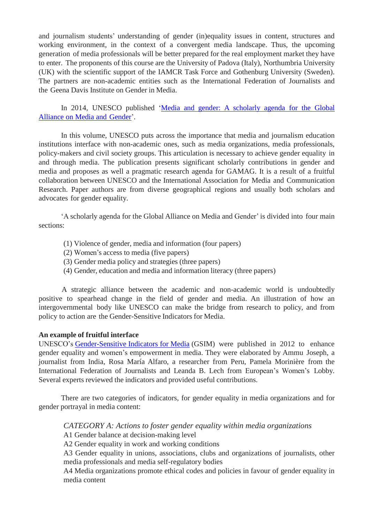and journalism students' understanding of gender (in)equality issues in content, structures and working environment, in the context of a convergent media landscape. Thus, the upcoming generation of media professionals will be better prepared for the real employment market they have to enter. The proponents of this course are the University of Padova (Italy), Northumbria University (UK) with the scientific support of the IAMCR Task Force and Gothenburg University (Sweden). The partners are non-academic entities such as the International Federation of Journalists and the Geena Davis Institute on Gender in Media.

In 2014, UNESCO published ['Media and gender: A](http://unesdoc.unesco.org/images/0022/002283/228399e.pdf) scholarly agenda for the Global [Alliance](http://unesdoc.unesco.org/images/0022/002283/228399e.pdf) on Media and Gender'.

In this volume, UNESCO puts across the importance that media and journalism education institutions interface with non-academic ones, such as media organizations, media professionals, policy-makers and civil society groups. This articulation is necessary to achieve gender equality in and through media. The publication presents significant scholarly contributions in gender and media and proposes as well a pragmatic research agenda for GAMAG. It is a result of a fruitful collaboration between UNESCO and the International Association for Media and Communication Research. Paper authors are from diverse geographical regions and usually both scholars and advocates for gender equality.

'A scholarly agenda for the Global Alliance on Media and Gender' is divided into four main sections:

- (1) Violence of gender, media and information (four papers)
- (2) Women's access to media (five papers)
- (3) Gender media policy and strategies (three papers)
- (4) Gender, education and media and information literacy (three papers)

A strategic alliance between the academic and non-academic world is undoubtedly positive to spearhead change in the field of gender and media. An illustration of how an intergovernmental body like UNESCO can make the bridge from research to policy, and from policy to action are the Gender-Sensitive Indicators for Media.

### **An example of fruitful interface**

UNESCO's [Gender-Sensitive](http://www.unesco.org/new/en/communication-and-information/resources/publications-and-communication-materials/publications/full-list/gender-sensitive-indicators-for-media-framework-of-indicators-to-gauge-gender-sensitivity-in-media-operations-and-content/) Indicators for Media (GSIM) were published in 2012 to enhance gender equality and women's empowerment in media. They were elaborated by Ammu Joseph, a journalist from India, Rosa María Alfaro, a researcher from Peru, Pamela Morinière from the International Federation of Journalists and Leanda B. Lech from European's Women's Lobby. Several experts reviewed the indicators and provided useful contributions.

There are two categories of indicators, for gender equality in media organizations and for gender portrayal in media content:

# *CATEGORY A: Actions to foster gender equality within media organizations*

A1 Gender balance at decision-making level

A2 Gender equality in work and working conditions

A3 Gender equality in unions, associations, clubs and organizations of journalists, other media professionals and media self-regulatory bodies

A4 Media organizations promote ethical codes and policies in favour of gender equality in media content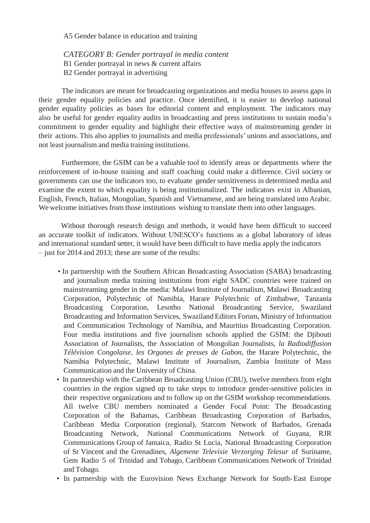A5 Gender balance in education and training

*CATEGORY B: Gender portrayal in media content* B1 Gender portrayal in news & current affairs B2 Gender portrayal in advertising

The indicators are meant for broadcasting organizations and media houses to assess gaps in their gender equality policies and practice. Once identified, it is easier to develop national gender equality policies as bases for editorial content and employment. The indicators may also be useful for gender equality audits in broadcasting and press institutions to sustain media's commitment to gender equality and highlight their effective ways of mainstreaming gender in their actions. This also applies to journalists and media professionals' unions and associations, and not least journalism and media training institutions.

Furthermore, the GSIM can be a valuable tool to identify areas or departments where the reinforcement of in-house training and staff coaching could make a difference. Civil society or governments can use the indicators too, to evaluate gender sensitiveness in determined media and examine the extent to which equality is being institutionalized. The indicators exist in Albanian, English, French, Italian, Mongolian, Spanish and Vietnamese, and are being translated into Arabic. We welcome initiatives from those institutions wishing to translate them into other languages.

Without thorough research design and methods, it would have been difficult to succeed an accurate toolkit of indicators. Without UNESCO's functions as a global laboratory of ideas and international standard setter, it would have been difficult to have media apply the indicators – just for 2014 and 2013; these are some of the results:

- In partnership with the Southern African Broadcasting Association (SABA) broadcasting and journalism media training institutions from eight SADC countries were trained on mainstreaming gender in the media: Malawi Institute of Journalism, Malawi Broadcasting Corporation, Polytechnic of Namibia, Harare Polytechnic of Zimbabwe, Tanzania Broadcasting Corporation, Lesotho National Broadcasting Service, Swaziland Broadcasting and Information Services, Swaziland Editors Forum, Ministry of Information and Communication Technology of Namibia, and Mauritius Broadcasting Corporation. Four media institutions and five journalism schools applied the GSIM: the Djibouti Association of Journalists, the Association of Mongolian Journalists, *la Radiodiffusion Télévision Congolaise*, *les Organes de presses de Gabon*, the Harare Polytechnic, the Namibia Polytechnic, Malawi Institute of Journalism, Zambia Institute of Mass Communication and the University of China.
- In partnership with the Caribbean Broadcasting Union (CBU), twelve members from eight countries in the region signed up to take steps to introduce gender-sensitive policies in their respective organizations and to follow up on the GSIM workshop recommendations. All twelve CBU members nominated a Gender Focal Point: The Broadcasting Corporation of the Bahamas, Caribbean Broadcasting Corporation of Barbados, Caribbean Media Corporation (regional), Starcom Network of Barbados, Grenada Broadcasting Network, National Communications Network of Guyana, RJR Communications Group of Jamaica, Radio St Lucia, National Broadcasting Corporation of St Vincent and the Grenadines, *Algemene Televisie Verzorging Telesur* of Suriname, Gem Radio 5 of Trinidad and Tobago, Caribbean Communications Network of Trinidad and Tobago.
- In partnership with the Eurovision News Exchange Network for South-East Europe